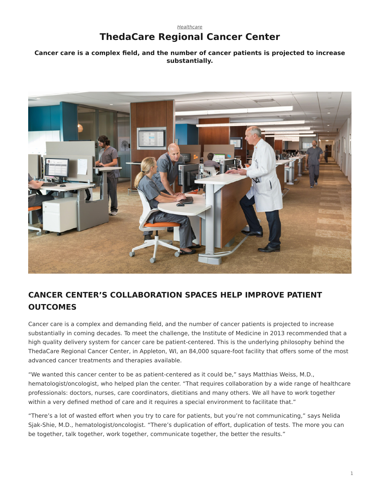## *[Healthcare](https://www.steelcase.com/research/topics/healthcare/)* **ThedaCare Regional Cancer Center**

#### <span id="page-0-0"></span>**Cancer care is a complex field, and the number of cancer patients is projected to increase substantially.**



# **CANCER CENTER'S COLLABORATION SPACES HELP IMPROVE PATIENT OUTCOMES**

Cancer care is a complex and demanding field, and the number of cancer patients is projected to increase substantially in coming decades. To meet the challenge, the Institute of Medicine in 2013 recommended that a high quality delivery system for cancer care be patient-centered. This is the underlying philosophy behind the ThedaCare Regional Cancer Center, in Appleton, WI, an 84,000 square-foot facility that offers some of the most advanced cancer treatments and therapies available.

"We wanted this cancer center to be as patient-centered as it could be," says Matthias Weiss, M.D., hematologist/oncologist, who helped plan the center. "That requires collaboration by a wide range of healthcare professionals: doctors, nurses, care coordinators, dietitians and many others. We all have to work together within a very defined method of care and it requires a special environment to facilitate that."

"There's a lot of wasted effort when you try to care for patients, but you're not communicating," says Nelida Sjak-Shie, M.D., hematologist/oncologist. "There's duplication of effort, duplication of tests. The more you can be together, talk together, work together, communicate together, the better the results."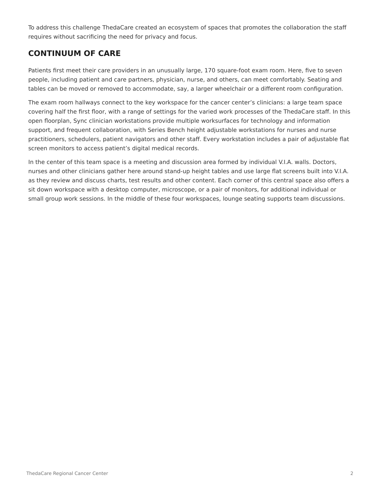To address this challenge ThedaCare created an ecosystem of spaces that promotes the collaboration the staff requires without sacrificing the need for privacy and focus.

## **CONTINUUM OF CARE**

Patients first meet their care providers in an unusually large, 170 square-foot exam room. Here, five to seven people, including patient and care partners, physician, nurse, and others, can meet comfortably. Seating and tables can be moved or removed to accommodate, say, a larger wheelchair or a different room configuration.

The exam room hallways connect to the key workspace for the cancer center's clinicians: a large team space covering half the first floor, with a range of settings for the varied work processes of the ThedaCare staff. In this open floorplan, Sync clinician workstations provide multiple worksurfaces for technology and information support, and frequent collaboration, with Series Bench height adjustable workstations for nurses and nurse practitioners, schedulers, patient navigators and other staff. Every workstation includes a pair of adjustable flat screen monitors to access patient's digital medical records.

In the center of this team space is a meeting and discussion area formed by individual V.I.A. walls. Doctors, nurses and other clinicians gather here around stand-up height tables and use large flat screens built into V.I.A. as they review and discuss charts, test results and other content. Each corner of this central space also offers a sit down workspace with a desktop computer, microscope, or a pair of monitors, for additional individual or small group work sessions. In the middle of these four workspaces, lounge seating supports team discussions.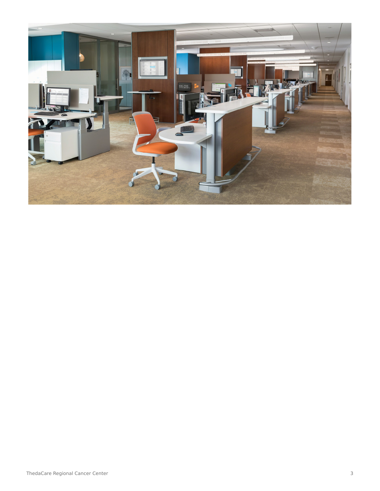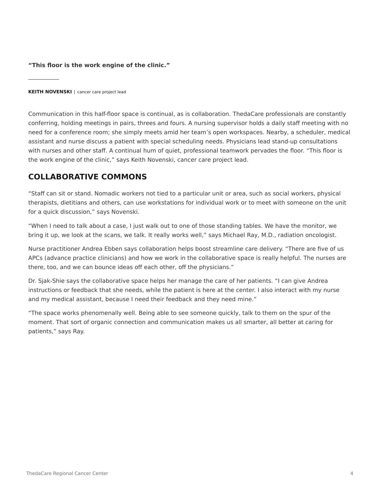**"This floor is the work engine of the clinic."**

#### **KEITH NOVENSKI** | cancer care project lead

Communication in this half-floor space is continual, as is collaboration. ThedaCare professionals are constantly conferring, holding meetings in pairs, threes and fours. A nursing supervisor holds a daily staff meeting with no need for a conference room; she simply meets amid her team's open workspaces. Nearby, a scheduler, medical assistant and nurse discuss a patient with special scheduling needs. Physicians lead stand-up consultations with nurses and other staff. A continual hum of quiet, professional teamwork pervades the floor. "This floor is the work engine of the clinic," says Keith Novenski, cancer care project lead.

## **COLLABORATIVE COMMONS**

"Staff can sit or stand. Nomadic workers not tied to a particular unit or area, such as social workers, physical therapists, dietitians and others, can use workstations for individual work or to meet with someone on the unit for a quick discussion," says Novenski.

"When I need to talk about a case, I just walk out to one of those standing tables. We have the monitor, we bring it up, we look at the scans, we talk. It really works well," says Michael Ray, M.D., radiation oncologist.

Nurse practitioner Andrea Ebben says collaboration helps boost streamline care delivery. "There are five of us APCs (advance practice clinicians) and how we work in the collaborative space is really helpful. The nurses are there, too, and we can bounce ideas off each other, off the physicians."

Dr. Sjak-Shie says the collaborative space helps her manage the care of her patients. "I can give Andrea instructions or feedback that she needs, while the patient is here at the center. I also interact with my nurse and my medical assistant, because I need their feedback and they need mine."

"The space works phenomenally well. Being able to see someone quickly, talk to them on the spur of the moment. That sort of organic connection and communication makes us all smarter, all better at caring for patients," says Ray.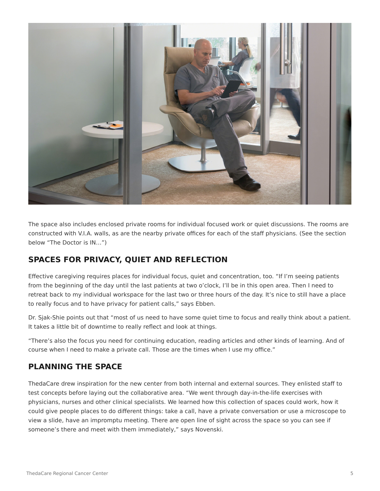

The space also includes enclosed private rooms for individual focused work or quiet discussions. The rooms are constructed with V.I.A. walls, as are the nearby private offices for each of the staff physicians. (See the section below "The Doctor is IN…")

## **SPACES FOR PRIVACY, QUIET AND REFLECTION**

Effective caregiving requires places for individual focus, quiet and concentration, too. "If I'm seeing patients from the beginning of the day until the last patients at two o'clock, I'll be in this open area. Then I need to retreat back to my individual workspace for the last two or three hours of the day. It's nice to still have a place to really focus and to have privacy for patient calls," says Ebben.

Dr. Sjak-Shie points out that "most of us need to have some quiet time to focus and really think about a patient. It takes a little bit of downtime to really reflect and look at things.

"There's also the focus you need for continuing education, reading articles and other kinds of learning. And of course when I need to make a private call. Those are the times when I use my office."

## **PLANNING THE SPACE**

ThedaCare drew inspiration for the new center from both internal and external sources. They enlisted staff to test concepts before laying out the collaborative area. "We went through day-in-the-life exercises with physicians, nurses and other clinical specialists. We learned how this collection of spaces could work, how it could give people places to do different things: take a call, have a private conversation or use a microscope to view a slide, have an impromptu meeting. There are open line of sight across the space so you can see if someone's there and meet with them immediately," says Novenski.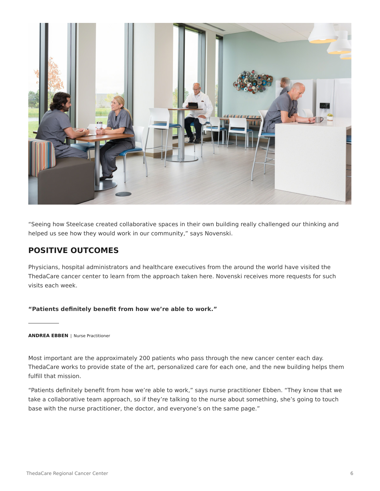

"Seeing how Steelcase created collaborative spaces in their own building really challenged our thinking and helped us see how they would work in our community," says Novenski.

## **POSITIVE OUTCOMES**

Physicians, hospital administrators and healthcare executives from the around the world have visited the ThedaCare cancer center to learn from the approach taken here. Novenski receives more requests for such visits each week.

**"Patients definitely benefit from how we're able to work."**

**ANDREA EBBEN** | Nurse Practitioner

Most important are the approximately 200 patients who pass through the new cancer center each day. ThedaCare works to provide state of the art, personalized care for each one, and the new building helps them fulfill that mission.

"Patients definitely benefit from how we're able to work," says nurse practitioner Ebben. "They know that we take a collaborative team approach, so if they're talking to the nurse about something, she's going to touch base with the nurse practitioner, the doctor, and everyone's on the same page."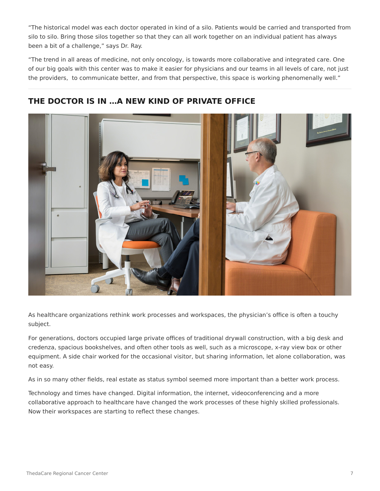"The historical model was each doctor operated in kind of a silo. Patients would be carried and transported from silo to silo. Bring those silos together so that they can all work together on an individual patient has always been a bit of a challenge," says Dr. Ray.

"The trend in all areas of medicine, not only oncology, is towards more collaborative and integrated care. One of our big goals with this center was to make it easier for physicians and our teams in all levels of care, not just the providers, to communicate better, and from that perspective, this space is working phenomenally well."



## **THE DOCTOR IS IN …A NEW KIND OF PRIVATE OFFICE**

As healthcare organizations rethink work processes and workspaces, the physician's office is often a touchy subject.

For generations, doctors occupied large private offices of traditional drywall construction, with a big desk and credenza, spacious bookshelves, and often other tools as well, such as a microscope, x-ray view box or other equipment. A side chair worked for the occasional visitor, but sharing information, let alone collaboration, was not easy.

As in so many other fields, real estate as status symbol seemed more important than a better work process.

Technology and times have changed. Digital information, the internet, videoconferencing and a more collaborative approach to healthcare have changed the work processes of these highly skilled professionals. Now their workspaces are starting to reflect these changes.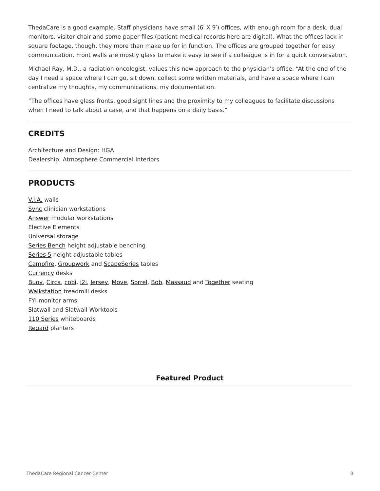ThedaCare is a good example. Staff physicians have small (6′ X 9′) offices, with enough room for a desk, dual monitors, visitor chair and some paper files (patient medical records here are digital). What the offices lack in square footage, though, they more than make up for in function. The offices are grouped together for easy communication. Front walls are mostly glass to make it easy to see if a colleague is in for a quick conversation.

Michael Ray, M.D., a radiation oncologist, values this new approach to the physician's office. "At the end of the day I need a space where I can go, sit down, collect some written materials, and have a space where I can centralize my thoughts, my communications, my documentation.

"The offices have glass fronts, good sight lines and the proximity to my colleagues to facilitate discussions when I need to talk about a case, and that happens on a daily basis."

#### **CREDITS**

Architecture and Design: HGA Dealership: Atmosphere Commercial Interiors

#### **PRODUCTS**

[V.I.A.](https://www.steelcase.com/products/walls-work-walls/via/) walls [Sync](https://www.steelcase.com/products/desk-systems/sync/) clinician workstations [Answer](/products/beams/answer-beam/) modular workstations [Elective Elements](https://www.steelcase.com/products/desk-systems/elective-elements/) [Universal storage](https://www.steelcase.com/products/bins-shelves/universal-storage/) [Series Bench](https://www.steelcase.com/products/benching/) height adjustable benching [Series 5](https://www.steelcase.com/products/height-adjustable-desks/) height adjustable tables [Campfire,](https://www.steelcase.com/products/education-lounge-seating/turnstone-campfire-lounge-system/) [Groupwork](https://www.steelcase.com/products/conference-classroom-tables/groupwork/) and [ScapeSeries](https://www.steelcase.com/products/conference-classroom-tables/scapeseries/) tables [Currency](https://www.steelcase.com/products/desk-systems/currency-enhanced/) desks [Buoy,](https://www.steelcase.com/products/education-lounge-seating/turnstone-buoy/) [Circa](https://www.steelcase.com/products/sofas/circa-lounge-system/), [cobi](https://www.steelcase.com/products/collaborative-chairs/cobi/), [i2i](https://www.steelcase.com/products/collaborative-chairs/i2i/), [Jersey](https://www.steelcase.com/products/office-chairs/jersey/), [Move,](https://www.steelcase.com/products/guest-chairs-stools/move/) [Sorrel,](https://www.steelcase.com/products/healthcare-seating/sorrel-2/) [Bob](https://www.steelcase.com/products/side-guest-chairs/bob-seating/), [Massaud](https://www.steelcase.com/products/conference-chairs/massaud-seating/) and [Together](https://www.steelcase.com/products/lounge-seating/together-bench/) seating [Walkstation](https://www.steelcase.com/products/height-adjustable-desks/walkstation/) treadmill desks FYI monitor arms [Slatwall](https://www.steelcase.com/products/organization-tools/slatwall-slatrail/) and Slatwall Worktools [110 Series](https://www.steelcase.com/products/whiteboards/110-series/) whiteboards [Regard](https://www.steelcase.com/products/bookcases-cabinets/regard/) planters

#### **Featured Product**